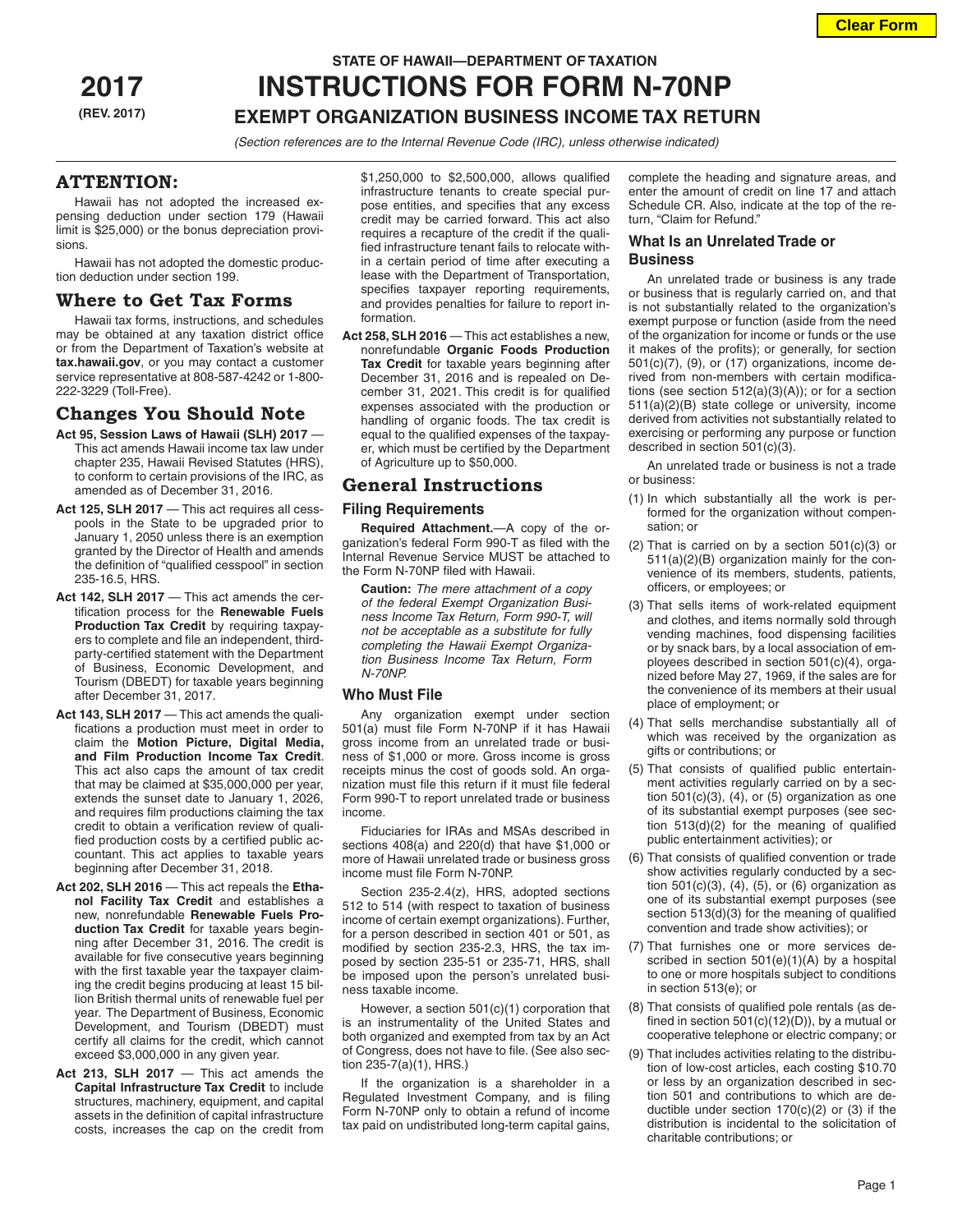# **STATE OF HAWAII—DEPARTMENT OF TAXATION 2017 INSTRUCTIONS FOR FORM N-70NP (REV. 2017) EXEMPT ORGANIZATION BUSINESS INCOME TAX RETURN**

*(Section references are to the Internal Revenue Code (IRC), unless otherwise indicated)*

# **ATTENTION:**

Hawaii has not adopted the increased expensing deduction under section 179 (Hawaii limit is \$25,000) or the bonus depreciation provisions.

Hawaii has not adopted the domestic production deduction under section 199.

# **Where to Get Tax Forms**

Hawaii tax forms, instructions, and schedules may be obtained at any taxation district office or from the Department of Taxation's website at **tax.hawaii.gov**, or you may contact a customer service representative at 808-587-4242 or 1-800- 222-3229 (Toll-Free).

# **Changes You Should Note**

- **Act 95, Session Laws of Hawaii (SLH) 2017**  This act amends Hawaii income tax law under chapter 235, Hawaii Revised Statutes (HRS), to conform to certain provisions of the IRC, as amended as of December 31, 2016.
- Act 125, SLH 2017 This act requires all cesspools in the State to be upgraded prior to January 1, 2050 unless there is an exemption granted by the Director of Health and amends the definition of "qualified cesspool" in section 235-16.5, HRS.
- Act 142, SLH 2017 This act amends the certification process for the **Renewable Fuels Production Tax Credit** by requiring taxpayers to complete and file an independent, thirdparty-certified statement with the Department of Business, Economic Development, and Tourism (DBEDT) for taxable years beginning after December 31, 2017.
- Act 143, SLH 2017 This act amends the qualifications a production must meet in order to claim the **Motion Picture, Digital Media, and Film Production Income Tax Credit**. This act also caps the amount of tax credit that may be claimed at \$35,000,000 per year, extends the sunset date to January 1, 2026, and requires film productions claiming the tax credit to obtain a verification review of qualified production costs by a certified public accountant. This act applies to taxable years beginning after December 31, 2018.
- **Act 202, SLH 2016**  This act repeals the **Ethanol Facility Tax Credit** and establishes a new, nonrefundable **Renewable Fuels Production Tax Credit** for taxable years beginning after December 31, 2016. The credit is available for five consecutive years beginning with the first taxable year the taxpayer claiming the credit begins producing at least 15 billion British thermal units of renewable fuel per year. The Department of Business, Economic Development, and Tourism (DBEDT) must certify all claims for the credit, which cannot exceed \$3,000,000 in any given year.
- **Act 213, SLH 2017**  This act amends the **Capital Infrastructure Tax Credit** to include structures, machinery, equipment, and capital assets in the definition of capital infrastructure costs, increases the cap on the credit from

\$1,250,000 to \$2,500,000, allows qualified infrastructure tenants to create special purpose entities, and specifies that any excess credit may be carried forward. This act also requires a recapture of the credit if the qualified infrastructure tenant fails to relocate within a certain period of time after executing a lease with the Department of Transportation, specifies taxpayer reporting requirements, and provides penalties for failure to report information.

**Act 258, SLH 2016** — This act establishes a new, nonrefundable **Organic Foods Production Tax Credit** for taxable years beginning after December 31, 2016 and is repealed on December 31, 2021. This credit is for qualified expenses associated with the production or handling of organic foods. The tax credit is equal to the qualified expenses of the taxpayer, which must be certified by the Department of Agriculture up to \$50,000.

# **General Instructions**

### **Filing Requirements**

**Required Attachment.**—A copy of the organization's federal Form 990-T as filed with the Internal Revenue Service MUST be attached to the Form N-70NP filed with Hawaii.

**Caution:** *The mere attachment of a copy of the federal Exempt Organization Business Income Tax Return, Form 990-T, will not be acceptable as a substitute for fully completing the Hawaii Exempt Organization Business Income Tax Return, Form N-70NP.*

# **Who Must File**

Any organization exempt under section 501(a) must file Form N-70NP if it has Hawaii gross income from an unrelated trade or business of \$1,000 or more. Gross income is gross receipts minus the cost of goods sold. An organization must file this return if it must file federal Form 990-T to report unrelated trade or business income.

Fiduciaries for IRAs and MSAs described in sections 408(a) and 220(d) that have \$1,000 or more of Hawaii unrelated trade or business gross income must file Form N-70NP.

Section 235-2.4(z), HRS, adopted sections 512 to 514 (with respect to taxation of business income of certain exempt organizations). Further, for a person described in section 401 or 501, as modified by section 235-2.3, HRS, the tax imposed by section 235-51 or 235-71, HRS, shall be imposed upon the person's unrelated business taxable income.

However, a section 501(c)(1) corporation that is an instrumentality of the United States and both organized and exempted from tax by an Act of Congress, does not have to file. (See also section 235-7(a)(1), HRS.)

If the organization is a shareholder in a Regulated Investment Company, and is filing Form N-70NP only to obtain a refund of income tax paid on undistributed long-term capital gains, complete the heading and signature areas, and enter the amount of credit on line 17 and attach Schedule CR. Also, indicate at the top of the return, "Claim for Refund."

# **What Is an Unrelated Trade or Business**

An unrelated trade or business is any trade or business that is regularly carried on, and that is not substantially related to the organization's exempt purpose or function (aside from the need of the organization for income or funds or the use it makes of the profits); or generally, for section  $501(c)(7)$ ,  $(9)$ , or  $(17)$  organizations, income derived from non-members with certain modifications (see section 512(a)(3)(A)); or for a section 511(a)(2)(B) state college or university, income derived from activities not substantially related to exercising or performing any purpose or function described in section 501(c)(3).

An unrelated trade or business is not a trade or business:

- (1) In which substantially all the work is performed for the organization without compensation; or
- (2) That is carried on by a section  $501(c)(3)$  or 511(a)(2)(B) organization mainly for the convenience of its members, students, patients, officers, or employees; or
- (3) That sells items of work-related equipment and clothes, and items normally sold through vending machines, food dispensing facilities or by snack bars, by a local association of employees described in section 501(c)(4), organized before May 27, 1969, if the sales are for the convenience of its members at their usual place of employment; or
- (4) That sells merchandise substantially all of which was received by the organization as gifts or contributions; or
- (5) That consists of qualified public entertainment activities regularly carried on by a section  $501(c)(3)$ ,  $(4)$ , or  $(5)$  organization as one of its substantial exempt purposes (see section 513(d)(2) for the meaning of qualified public entertainment activities); or
- (6) That consists of qualified convention or trade show activities regularly conducted by a section 501(c)(3), (4), (5), or (6) organization as one of its substantial exempt purposes (see section 513(d)(3) for the meaning of qualified convention and trade show activities); or
- (7) That furnishes one or more services described in section 501(e)(1)(A) by a hospital to one or more hospitals subject to conditions in section 513(e); or
- (8) That consists of qualified pole rentals (as defined in section  $501(c)(12)(D)$ , by a mutual or cooperative telephone or electric company; or
- (9) That includes activities relating to the distribution of low-cost articles, each costing \$10.70 or less by an organization described in section 501 and contributions to which are deductible under section  $170(c)(2)$  or (3) if the distribution is incidental to the solicitation of charitable contributions; or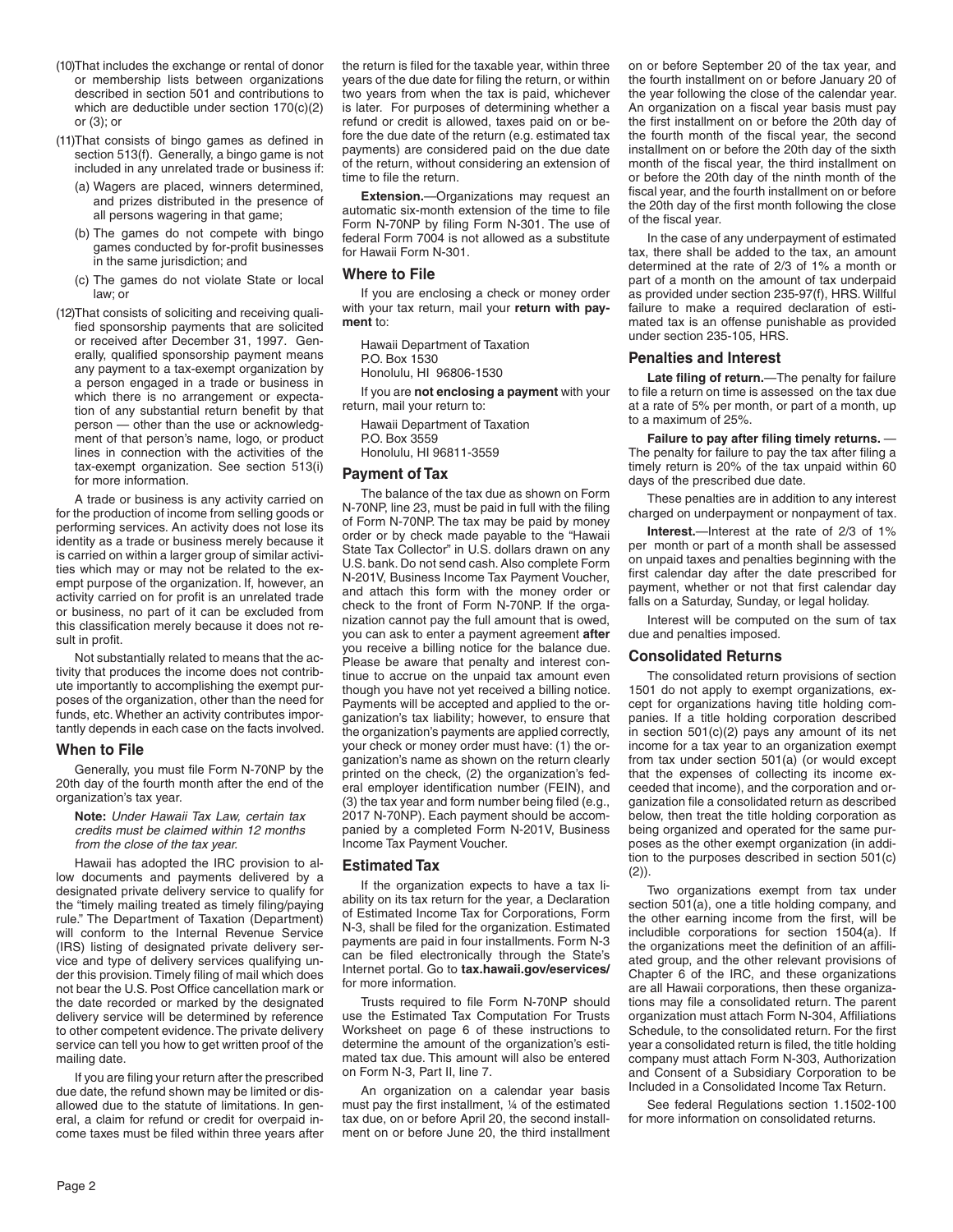- (10)That includes the exchange or rental of donor or membership lists between organizations described in section 501 and contributions to which are deductible under section 170(c)(2) or (3); or
- (11)That consists of bingo games as defined in section 513(f). Generally, a bingo game is not included in any unrelated trade or business if:
	- (a) Wagers are placed, winners determined, and prizes distributed in the presence of all persons wagering in that game;
	- (b) The games do not compete with bingo games conducted by for-profit businesses in the same jurisdiction; and
	- (c) The games do not violate State or local law; or
- (12)That consists of soliciting and receiving qualified sponsorship payments that are solicited or received after December 31, 1997. Generally, qualified sponsorship payment means any payment to a tax-exempt organization by a person engaged in a trade or business in which there is no arrangement or expectation of any substantial return benefit by that person — other than the use or acknowledgment of that person's name, logo, or product lines in connection with the activities of the tax-exempt organization. See section 513(i) for more information.

A trade or business is any activity carried on for the production of income from selling goods or performing services. An activity does not lose its identity as a trade or business merely because it is carried on within a larger group of similar activities which may or may not be related to the exempt purpose of the organization. If, however, an activity carried on for profit is an unrelated trade or business, no part of it can be excluded from this classification merely because it does not result in profit.

Not substantially related to means that the activity that produces the income does not contribute importantly to accomplishing the exempt purposes of the organization, other than the need for funds, etc. Whether an activity contributes importantly depends in each case on the facts involved.

### **When to File**

Generally, you must file Form N-70NP by the 20th day of the fourth month after the end of the organization's tax year.

**Note:** *Under Hawaii Tax Law, certain tax credits must be claimed within 12 months from the close of the tax year.*

Hawaii has adopted the IRC provision to allow documents and payments delivered by a designated private delivery service to qualify for the "timely mailing treated as timely filing/paying rule." The Department of Taxation (Department) will conform to the Internal Revenue Service (IRS) listing of designated private delivery service and type of delivery services qualifying under this provision. Timely filing of mail which does not bear the U.S. Post Office cancellation mark or the date recorded or marked by the designated delivery service will be determined by reference to other competent evidence. The private delivery service can tell you how to get written proof of the mailing date.

If you are filing your return after the prescribed due date, the refund shown may be limited or disallowed due to the statute of limitations. In general, a claim for refund or credit for overpaid income taxes must be filed within three years after

the return is filed for the taxable year, within three years of the due date for filing the return, or within two years from when the tax is paid, whichever is later. For purposes of determining whether a refund or credit is allowed, taxes paid on or before the due date of the return (e.g. estimated tax payments) are considered paid on the due date of the return, without considering an extension of time to file the return.

**Extension.**—Organizations may request an automatic six-month extension of the time to file Form N-70NP by filing Form N-301. The use of federal Form 7004 is not allowed as a substitute for Hawaii Form N-301.

### **Where to File**

If you are enclosing a check or money order with your tax return, mail your **return with payment** to:

Hawaii Department of Taxation P.O. Box 1530 Honolulu, HI 96806-1530

If you are **not enclosing a payment** with your return, mail your return to:

Hawaii Department of Taxation P.O. Box 3559 Honolulu, HI 96811-3559

### **Payment of Tax**

The balance of the tax due as shown on Form N-70NP, line 23, must be paid in full with the filing of Form N-70NP. The tax may be paid by money order or by check made payable to the "Hawaii State Tax Collector" in U.S. dollars drawn on any U.S. bank. Do not send cash. Also complete Form N-201V, Business Income Tax Payment Voucher, and attach this form with the money order or check to the front of Form N-70NP. If the organization cannot pay the full amount that is owed, you can ask to enter a payment agreement **after** you receive a billing notice for the balance due. Please be aware that penalty and interest continue to accrue on the unpaid tax amount even though you have not yet received a billing notice. Payments will be accepted and applied to the organization's tax liability; however, to ensure that the organization's payments are applied correctly, your check or money order must have: (1) the organization's name as shown on the return clearly printed on the check, (2) the organization's federal employer identification number (FEIN), and (3) the tax year and form number being filed (e.g., 2017 N-70NP). Each payment should be accompanied by a completed Form N-201V, Business Income Tax Payment Voucher.

#### **Estimated Tax**

If the organization expects to have a tax liability on its tax return for the year, a Declaration of Estimated Income Tax for Corporations, Form N-3, shall be filed for the organization. Estimated payments are paid in four installments. Form N-3 can be filed electronically through the State's Internet portal. Go to **tax.hawaii.gov/eservices/** for more information.

Trusts required to file Form N-70NP should use the Estimated Tax Computation For Trusts Worksheet on page 6 of these instructions to determine the amount of the organization's estimated tax due. This amount will also be entered on Form N-3, Part II, line 7.

An organization on a calendar year basis must pay the first installment, ¼ of the estimated tax due, on or before April 20, the second installment on or before June 20, the third installment on or before September 20 of the tax year, and the fourth installment on or before January 20 of the year following the close of the calendar year. An organization on a fiscal year basis must pay the first installment on or before the 20th day of the fourth month of the fiscal year, the second installment on or before the 20th day of the sixth month of the fiscal year, the third installment on or before the 20th day of the ninth month of the fiscal year, and the fourth installment on or before the 20th day of the first month following the close of the fiscal year.

In the case of any underpayment of estimated tax, there shall be added to the tax, an amount determined at the rate of 2/3 of 1% a month or part of a month on the amount of tax underpaid as provided under section 235-97(f), HRS. Willful failure to make a required declaration of estimated tax is an offense punishable as provided under section 235-105, HRS.

### **Penalties and Interest**

**Late filing of return.**—The penalty for failure to file a return on time is assessed on the tax due at a rate of 5% per month, or part of a month, up to a maximum of 25%.

**Failure to pay after filing timely returns.** — The penalty for failure to pay the tax after filing a timely return is 20% of the tax unpaid within 60 days of the prescribed due date.

These penalties are in addition to any interest charged on underpayment or nonpayment of tax.

**Interest.**—Interest at the rate of 2/3 of 1% per month or part of a month shall be assessed on unpaid taxes and penalties beginning with the first calendar day after the date prescribed for payment, whether or not that first calendar day falls on a Saturday, Sunday, or legal holiday.

Interest will be computed on the sum of tax due and penalties imposed.

### **Consolidated Returns**

The consolidated return provisions of section 1501 do not apply to exempt organizations, except for organizations having title holding companies. If a title holding corporation described in section 501(c)(2) pays any amount of its net income for a tax year to an organization exempt from tax under section 501(a) (or would except that the expenses of collecting its income exceeded that income), and the corporation and organization file a consolidated return as described below, then treat the title holding corporation as being organized and operated for the same purposes as the other exempt organization (in addition to the purposes described in section 501(c)  $(2)$ ).

Two organizations exempt from tax under section 501(a), one a title holding company, and the other earning income from the first, will be includible corporations for section 1504(a). If the organizations meet the definition of an affiliated group, and the other relevant provisions of Chapter 6 of the IRC, and these organizations are all Hawaii corporations, then these organizations may file a consolidated return. The parent organization must attach Form N-304, Affiliations Schedule, to the consolidated return. For the first year a consolidated return is filed, the title holding company must attach Form N-303, Authorization and Consent of a Subsidiary Corporation to be Included in a Consolidated Income Tax Return.

See federal Regulations section 1.1502-100 for more information on consolidated returns.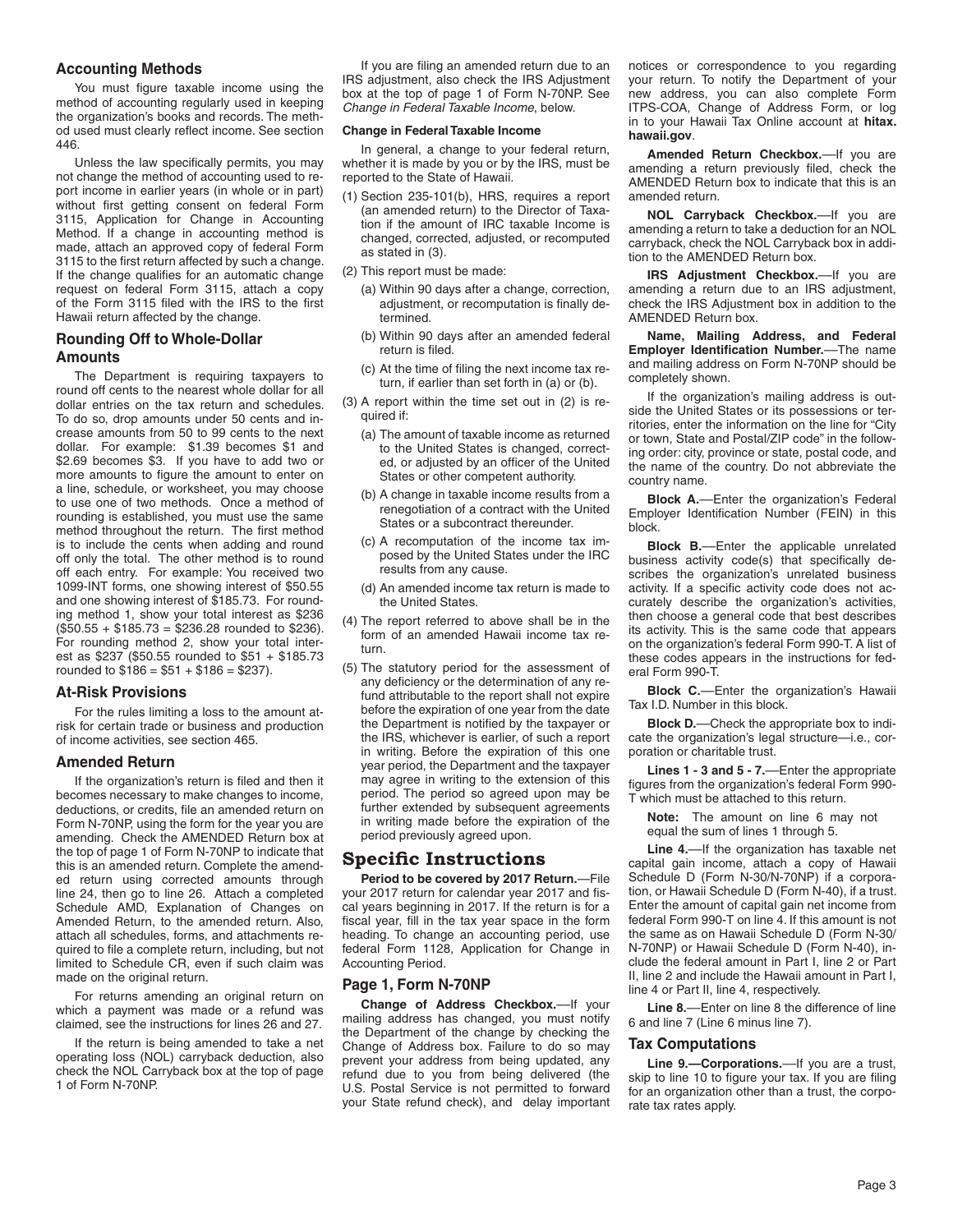# **Accounting Methods**

You must figure taxable income using the method of accounting regularly used in keeping the organization's books and records. The method used must clearly reflect income. See section 446.

Unless the law specifically permits, you may not change the method of accounting used to report income in earlier years (in whole or in part) without first getting consent on federal Form 3115, Application for Change in Accounting Method. If a change in accounting method is made, attach an approved copy of federal Form 3115 to the first return affected by such a change. If the change qualifies for an automatic change request on federal Form 3115, attach a copy of the Form 3115 filed with the IRS to the first Hawaii return affected by the change.

# **Rounding Off to Whole-Dollar Amounts**

The Department is requiring taxpayers to round off cents to the nearest whole dollar for all dollar entries on the tax return and schedules. To do so, drop amounts under 50 cents and increase amounts from 50 to 99 cents to the next dollar. For example: \$1.39 becomes \$1 and \$2.69 becomes \$3. If you have to add two or more amounts to figure the amount to enter on a line, schedule, or worksheet, you may choose to use one of two methods. Once a method of rounding is established, you must use the same method throughout the return. The first method is to include the cents when adding and round off only the total. The other method is to round off each entry. For example: You received two 1099-INT forms, one showing interest of \$50.55 and one showing interest of \$185.73. For rounding method 1, show your total interest as \$236  $($50.55 + $185.73 = $236.28$  rounded to \$236). For rounding method 2, show your total interest as \$237 (\$50.55 rounded to \$51 + \$185.73 rounded to  $$186 = $51 + $186 = $237$ ).

# **At-Risk Provisions**

For the rules limiting a loss to the amount atrisk for certain trade or business and production of income activities, see section 465.

# **Amended Return**

If the organization's return is filed and then it becomes necessary to make changes to income, deductions, or credits, file an amended return on Form N-70NP, using the form for the year you are amending. Check the AMENDED Return box at the top of page 1 of Form N-70NP to indicate that this is an amended return. Complete the amended return using corrected amounts through line 24, then go to line 26. Attach a completed Schedule AMD, Explanation of Changes on Amended Return, to the amended return. Also, attach all schedules, forms, and attachments required to file a complete return, including, but not limited to Schedule CR, even if such claim was made on the original return.

For returns amending an original return on which a payment was made or a refund was claimed, see the instructions for lines 26 and 27.

If the return is being amended to take a net operating loss (NOL) carryback deduction, also check the NOL Carryback box at the top of page 1 of Form N-70NP.

If you are filing an amended return due to an IRS adjustment, also check the IRS Adjustment box at the top of page 1 of Form N-70NP. See *Change in Federal Taxable Income*, below.

### **Change in Federal Taxable Income**

In general, a change to your federal return, whether it is made by you or by the IRS, must be reported to the State of Hawaii.

- (1) Section 235-101(b), HRS, requires a report (an amended return) to the Director of Taxation if the amount of IRC taxable Income is changed, corrected, adjusted, or recomputed as stated in (3).
- (2) This report must be made:
	- (a) Within 90 days after a change, correction, adjustment, or recomputation is finally determined.
	- (b) Within 90 days after an amended federal return is filed.
	- (c) At the time of filing the next income tax return, if earlier than set forth in (a) or (b).
- (3) A report within the time set out in (2) is required if:
	- (a) The amount of taxable income as returned to the United States is changed, corrected, or adjusted by an officer of the United States or other competent authority.
	- (b) A change in taxable income results from a renegotiation of a contract with the United States or a subcontract thereunder.
	- (c) A recomputation of the income tax imposed by the United States under the IRC results from any cause.
	- (d) An amended income tax return is made to the United States.
- (4) The report referred to above shall be in the form of an amended Hawaii income tax return.
- (5) The statutory period for the assessment of any deficiency or the determination of any refund attributable to the report shall not expire before the expiration of one year from the date the Department is notified by the taxpayer or the IRS, whichever is earlier, of such a report in writing. Before the expiration of this one year period, the Department and the taxpayer may agree in writing to the extension of this period. The period so agreed upon may be further extended by subsequent agreements in writing made before the expiration of the period previously agreed upon.

# **Specific Instructions**

**Period to be covered by 2017 Return.**—File your 2017 return for calendar year 2017 and fiscal years beginning in 2017. If the return is for a fiscal year, fill in the tax year space in the form heading. To change an accounting period, use federal Form 1128, Application for Change in Accounting Period.

### **Page 1, Form N-70NP**

**Change of Address Checkbox.**––If your mailing address has changed, you must notify the Department of the change by checking the Change of Address box. Failure to do so may prevent your address from being updated, any refund due to you from being delivered (the U.S. Postal Service is not permitted to forward your State refund check), and delay important notices or correspondence to you regarding your return. To notify the Department of your new address, you can also complete Form ITPS-COA, Change of Address Form, or log in to your Hawaii Tax Online account at **hitax. hawaii.gov**.

**Amended Return Checkbox.**––If you are amending a return previously filed, check the AMENDED Return box to indicate that this is an amended return.

**NOL Carryback Checkbox.**—If you are amending a return to take a deduction for an NOL carryback, check the NOL Carryback box in addition to the AMENDED Return box.

**IRS Adjustment Checkbox.**––If you are amending a return due to an IRS adjustment, check the IRS Adjustment box in addition to the AMENDED Return box.

**Name, Mailing Address, and Federal Employer Identification Number.**––The name and mailing address on Form N-70NP should be completely shown.

If the organization's mailing address is outside the United States or its possessions or territories, enter the information on the line for "City or town, State and Postal/ZIP code" in the following order: city, province or state, postal code, and the name of the country. Do not abbreviate the country name.

**Block A.**––Enter the organization's Federal Employer Identification Number (FEIN) in this block.

**Block B.**––Enter the applicable unrelated business activity code(s) that specifically describes the organization's unrelated business activity. If a specific activity code does not accurately describe the organization's activities, then choose a general code that best describes its activity. This is the same code that appears on the organization's federal Form 990-T. A list of these codes appears in the instructions for federal Form 990-T.

**Block C.**––Enter the organization's Hawaii Tax I.D. Number in this block.

**Block D.**—Check the appropriate box to indicate the organization's legal structure—i.e., corporation or charitable trust.

**Lines 1 - 3 and 5 - 7.**––Enter the appropriate figures from the organization's federal Form 990- T which must be attached to this return.

**Note:** The amount on line 6 may not equal the sum of lines 1 through 5.

**Line 4.**––If the organization has taxable net capital gain income, attach a copy of Hawaii Schedule D (Form N-30/N-70NP) if a corporation, or Hawaii Schedule D (Form N-40), if a trust. Enter the amount of capital gain net income from federal Form 990-T on line 4. If this amount is not the same as on Hawaii Schedule D (Form N-30/ N-70NP) or Hawaii Schedule D (Form N-40), include the federal amount in Part I, line 2 or Part II, line 2 and include the Hawaii amount in Part I, line 4 or Part II, line 4, respectively.

**Line 8.**––Enter on line 8 the difference of line 6 and line 7 (Line 6 minus line 7).

### **Tax Computations**

**Line 9.—Corporations.**––If you are a trust, skip to line 10 to figure your tax. If you are filing for an organization other than a trust, the corporate tax rates apply.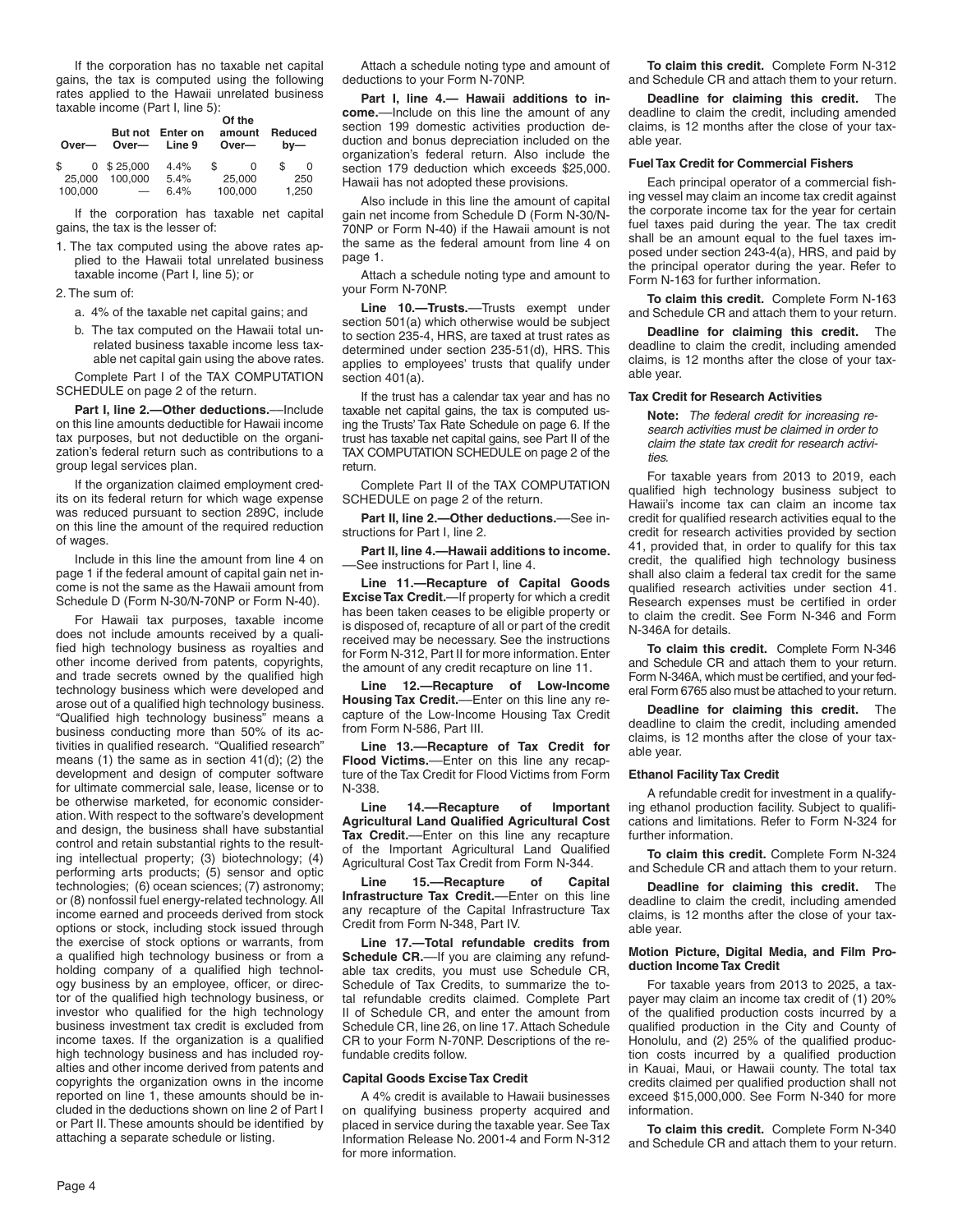If the corporation has no taxable net capital gains, the tax is computed using the following rates applied to the Hawaii unrelated business taxable income (Part I, line 5):

| Over—             | But not<br>Over-                    | Enter on<br>Line 9 | Of the<br>amount<br>Over- | Reduced<br>$bv$ — |
|-------------------|-------------------------------------|--------------------|---------------------------|-------------------|
| \$                | $0$ \$ 25,000                       | 4.4%               | \$.<br>0                  | S<br>O            |
| 25,000<br>100,000 | 100.000<br>$\overline{\phantom{m}}$ | 5.4%<br>6.4%       | 25,000<br>100.000         | 250<br>1,250      |

If the corporation has taxable net capital gains, the tax is the lesser of:

1. The tax computed using the above rates applied to the Hawaii total unrelated business taxable income (Part I, line 5); or

2. The sum of:

a. 4% of the taxable net capital gains; and

b. The tax computed on the Hawaii total unrelated business taxable income less taxable net capital gain using the above rates.

Complete Part I of the TAX COMPUTATION SCHEDULE on page 2 of the return.

Part I, line 2.-Other deductions.--Include on this line amounts deductible for Hawaii income tax purposes, but not deductible on the organization's federal return such as contributions to a group legal services plan.

If the organization claimed employment credits on its federal return for which wage expense was reduced pursuant to section 289C, include on this line the amount of the required reduction of wages.

Include in this line the amount from line 4 on page 1 if the federal amount of capital gain net income is not the same as the Hawaii amount from Schedule D (Form N-30/N-70NP or Form N-40).

For Hawaii tax purposes, taxable income does not include amounts received by a qualified high technology business as royalties and other income derived from patents, copyrights, and trade secrets owned by the qualified high technology business which were developed and arose out of a qualified high technology business. "Qualified high technology business" means a business conducting more than 50% of its activities in qualified research. "Qualified research" means (1) the same as in section 41(d); (2) the development and design of computer software for ultimate commercial sale, lease, license or to be otherwise marketed, for economic consideration. With respect to the software's development and design, the business shall have substantial control and retain substantial rights to the resulting intellectual property; (3) biotechnology; (4) performing arts products; (5) sensor and optic technologies; (6) ocean sciences; (7) astronomy; or (8) nonfossil fuel energy-related technology. All income earned and proceeds derived from stock options or stock, including stock issued through the exercise of stock options or warrants, from a qualified high technology business or from a holding company of a qualified high technology business by an employee, officer, or director of the qualified high technology business, or investor who qualified for the high technology business investment tax credit is excluded from income taxes. If the organization is a qualified high technology business and has included royalties and other income derived from patents and copyrights the organization owns in the income reported on line 1, these amounts should be included in the deductions shown on line 2 of Part I or Part II. These amounts should be identified by attaching a separate schedule or listing.

Attach a schedule noting type and amount of deductions to your Form N-70NP.

**Part I, line 4.— Hawaii additions to income.**––Include on this line the amount of any section 199 domestic activities production deduction and bonus depreciation included on the organization's federal return. Also include the section 179 deduction which exceeds \$25,000. Hawaii has not adopted these provisions.

Also include in this line the amount of capital gain net income from Schedule D (Form N-30/N-70NP or Form N-40) if the Hawaii amount is not the same as the federal amount from line 4 on page 1.

Attach a schedule noting type and amount to your Form N-70NP.

**Line 10.—Trusts.**––Trusts exempt under section 501(a) which otherwise would be subject to section 235-4, HRS, are taxed at trust rates as determined under section 235-51(d), HRS. This applies to employees' trusts that qualify under section 401(a).

If the trust has a calendar tax year and has no taxable net capital gains, the tax is computed using the Trusts' Tax Rate Schedule on page 6. If the trust has taxable net capital gains, see Part II of the TAX COMPUTATION SCHEDULE on page 2 of the return.

Complete Part II of the TAX COMPUTATION SCHEDULE on page 2 of the return.

**Part II, line 2.—Other deductions.**––See instructions for Part I, line 2.

**Part II, line 4.—Hawaii additions to income.** ––See instructions for Part I, line 4.

**Line 11.—Recapture of Capital Goods Excise Tax Credit.**—If property for which a credit has been taken ceases to be eligible property or is disposed of, recapture of all or part of the credit received may be necessary. See the instructions for Form N-312, Part II for more information. Enter the amount of any credit recapture on line 11.

**Line 12.—Recapture of Low-Income Housing Tax Credit.**––Enter on this line any recapture of the Low-Income Housing Tax Credit from Form N-586, Part III.

**Line 13.––Recapture of Tax Credit for Flood Victims.**––Enter on this line any recapture of the Tax Credit for Flood Victims from Form N-338.

**Line 14.––Recapture of Important Agricultural Land Qualified Agricultural Cost Tax Credit.**––Enter on this line any recapture of the Important Agricultural Land Qualified Agricultural Cost Tax Credit from Form N-344.

**Line 15.––Recapture of Capital Infrastructure Tax Credit.**––Enter on this line any recapture of the Capital Infrastructure Tax Credit from Form N-348, Part IV.

**Line 17.—Total refundable credits from Schedule CR.**—If you are claiming any refundable tax credits, you must use Schedule CR, Schedule of Tax Credits, to summarize the total refundable credits claimed. Complete Part II of Schedule CR, and enter the amount from Schedule CR, line 26, on line 17. Attach Schedule CR to your Form N-70NP. Descriptions of the refundable credits follow.

#### **Capital Goods Excise Tax Credit**

A 4% credit is available to Hawaii businesses on qualifying business property acquired and placed in service during the taxable year. See Tax Information Release No. 2001-4 and Form N-312 for more information.

**To claim this credit.** Complete Form N-312 and Schedule CR and attach them to your return.

**Deadline for claiming this credit.** The deadline to claim the credit, including amended claims, is 12 months after the close of your taxable year.

#### **Fuel Tax Credit for Commercial Fishers**

Each principal operator of a commercial fishing vessel may claim an income tax credit against the corporate income tax for the year for certain fuel taxes paid during the year. The tax credit shall be an amount equal to the fuel taxes imposed under section 243-4(a), HRS, and paid by the principal operator during the year. Refer to Form N-163 for further information.

**To claim this credit.** Complete Form N-163 and Schedule CR and attach them to your return.

**Deadline for claiming this credit.** The deadline to claim the credit, including amended claims, is 12 months after the close of your taxable year.

#### **Tax Credit for Research Activities**

**Note:** *The federal credit for increasing research activities must be claimed in order to claim the state tax credit for research activities.*

For taxable years from 2013 to 2019, each qualified high technology business subject to Hawaii's income tax can claim an income tax credit for qualified research activities equal to the credit for research activities provided by section 41, provided that, in order to qualify for this tax credit, the qualified high technology business shall also claim a federal tax credit for the same qualified research activities under section 41. Research expenses must be certified in order to claim the credit. See Form N-346 and Form N-346A for details.

**To claim this credit.** Complete Form N-346 and Schedule CR and attach them to your return. Form N-346A, which must be certified, and your federal Form 6765 also must be attached to your return.

**Deadline for claiming this credit.** The deadline to claim the credit, including amended claims, is 12 months after the close of your taxable year.

#### **Ethanol Facility Tax Credit**

A refundable credit for investment in a qualifying ethanol production facility. Subject to qualifications and limitations. Refer to Form N-324 for further information.

**To claim this credit.** Complete Form N-324 and Schedule CR and attach them to your return.

**Deadline for claiming this credit.** The deadline to claim the credit, including amended claims, is 12 months after the close of your taxable year.

#### **Motion Picture, Digital Media, and Film Production Income Tax Credit**

For taxable years from 2013 to 2025, a taxpayer may claim an income tax credit of (1) 20% of the qualified production costs incurred by a qualified production in the City and County of Honolulu, and (2) 25% of the qualified production costs incurred by a qualified production in Kauai, Maui, or Hawaii county. The total tax credits claimed per qualified production shall not exceed \$15,000,000. See Form N-340 for more information.

**To claim this credit.** Complete Form N-340 and Schedule CR and attach them to your return.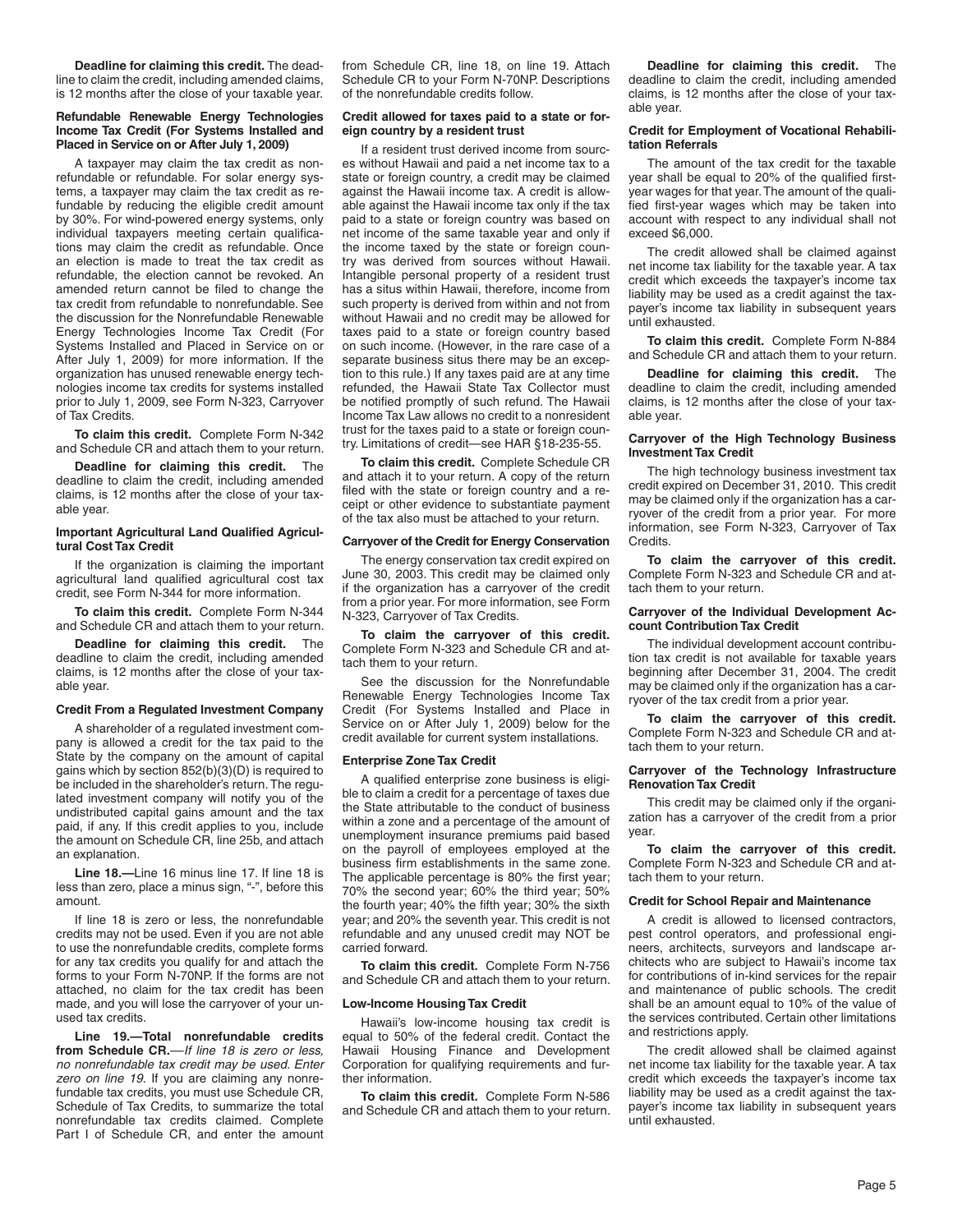**Deadline for claiming this credit.** The deadline to claim the credit, including amended claims, is 12 months after the close of your taxable year.

#### **Refundable Renewable Energy Technologies Income Tax Credit (For Systems Installed and Placed in Service on or After July 1, 2009)**

A taxpayer may claim the tax credit as nonrefundable or refundable. For solar energy systems, a taxpayer may claim the tax credit as refundable by reducing the eligible credit amount by 30%. For wind-powered energy systems, only individual taxpayers meeting certain qualifications may claim the credit as refundable. Once an election is made to treat the tax credit as refundable, the election cannot be revoked. An amended return cannot be filed to change the tax credit from refundable to nonrefundable. See the discussion for the Nonrefundable Renewable Energy Technologies Income Tax Credit (For Systems Installed and Placed in Service on or After July 1, 2009) for more information. If the organization has unused renewable energy technologies income tax credits for systems installed prior to July 1, 2009, see Form N-323, Carryover of Tax Credits.

**To claim this credit.** Complete Form N-342 and Schedule CR and attach them to your return.

**Deadline for claiming this credit.** The deadline to claim the credit, including amended claims, is 12 months after the close of your taxable year.

#### **Important Agricultural Land Qualified Agricultural Cost Tax Credit**

If the organization is claiming the important agricultural land qualified agricultural cost tax credit, see Form N-344 for more information.

**To claim this credit.** Complete Form N-344 and Schedule CR and attach them to your return.

**Deadline for claiming this credit.** The deadline to claim the credit, including amended claims, is 12 months after the close of your taxable year.

#### **Credit From a Regulated Investment Company**

A shareholder of a regulated investment company is allowed a credit for the tax paid to the State by the company on the amount of capital gains which by section 852(b)(3)(D) is required to be included in the shareholder's return. The regulated investment company will notify you of the undistributed capital gains amount and the tax paid, if any. If this credit applies to you, include the amount on Schedule CR, line 25b, and attach an explanation.

**Line 18.—**Line 16 minus line 17. If line 18 is less than zero, place a minus sign, "-", before this amount.

If line 18 is zero or less, the nonrefundable credits may not be used. Even if you are not able to use the nonrefundable credits, complete forms for any tax credits you qualify for and attach the forms to your Form N-70NP. If the forms are not attached, no claim for the tax credit has been made, and you will lose the carryover of your unused tax credits.

**Line 19.—Total nonrefundable credits from Schedule CR.**––*If line 18 is zero or less, no nonrefundable tax credit may be used. Enter zero on line 19.* If you are claiming any nonrefundable tax credits, you must use Schedule CR, Schedule of Tax Credits, to summarize the total nonrefundable tax credits claimed. Complete Part I of Schedule CR, and enter the amount

from Schedule CR, line 18, on line 19. Attach Schedule CR to your Form N-70NP. Descriptions of the nonrefundable credits follow.

#### **Credit allowed for taxes paid to a state or foreign country by a resident trust**

If a resident trust derived income from sources without Hawaii and paid a net income tax to a state or foreign country, a credit may be claimed against the Hawaii income tax. A credit is allowable against the Hawaii income tax only if the tax paid to a state or foreign country was based on net income of the same taxable year and only if the income taxed by the state or foreign country was derived from sources without Hawaii. Intangible personal property of a resident trust has a situs within Hawaii, therefore, income from such property is derived from within and not from without Hawaii and no credit may be allowed for taxes paid to a state or foreign country based on such income. (However, in the rare case of a separate business situs there may be an exception to this rule.) If any taxes paid are at any time refunded, the Hawaii State Tax Collector must be notified promptly of such refund. The Hawaii Income Tax Law allows no credit to a nonresident trust for the taxes paid to a state or foreign country. Limitations of credit—see HAR §18-235-55.

**To claim this credit.** Complete Schedule CR and attach it to your return. A copy of the return filed with the state or foreign country and a receipt or other evidence to substantiate payment of the tax also must be attached to your return.

#### **Carryover of the Credit for Energy Conservation**

The energy conservation tax credit expired on June 30, 2003. This credit may be claimed only if the organization has a carryover of the credit from a prior year. For more information, see Form N-323, Carryover of Tax Credits.

**To claim the carryover of this credit.** Complete Form N-323 and Schedule CR and attach them to your return.

See the discussion for the Nonrefundable Renewable Energy Technologies Income Tax Credit (For Systems Installed and Place in Service on or After July 1, 2009) below for the credit available for current system installations.

#### **Enterprise Zone Tax Credit**

A qualified enterprise zone business is eligible to claim a credit for a percentage of taxes due the State attributable to the conduct of business within a zone and a percentage of the amount of unemployment insurance premiums paid based on the payroll of employees employed at the business firm establishments in the same zone. The applicable percentage is 80% the first year; 70% the second year; 60% the third year; 50% the fourth year; 40% the fifth year; 30% the sixth year; and 20% the seventh year. This credit is not refundable and any unused credit may NOT be carried forward.

**To claim this credit.** Complete Form N-756 and Schedule CR and attach them to your return.

## **Low-Income Housing Tax Credit**

Hawaii's low-income housing tax credit is equal to 50% of the federal credit. Contact the Hawaii Housing Finance and Development Corporation for qualifying requirements and further information.

**To claim this credit.** Complete Form N-586 and Schedule CR and attach them to your return.

**Deadline for claiming this credit.** The deadline to claim the credit, including amended claims, is 12 months after the close of your taxable year.

#### **Credit for Employment of Vocational Rehabilitation Referrals**

The amount of the tax credit for the taxable year shall be equal to 20% of the qualified firstyear wages for that year. The amount of the qualified first-year wages which may be taken into account with respect to any individual shall not exceed \$6,000.

The credit allowed shall be claimed against net income tax liability for the taxable year. A tax credit which exceeds the taxpayer's income tax liability may be used as a credit against the taxpayer's income tax liability in subsequent years until exhausted.

**To claim this credit.** Complete Form N-884 and Schedule CR and attach them to your return.

**Deadline for claiming this credit.** The deadline to claim the credit, including amended claims, is 12 months after the close of your taxable year.

#### **Carryover of the High Technology Business Investment Tax Credit**

The high technology business investment tax credit expired on December 31, 2010. This credit may be claimed only if the organization has a carryover of the credit from a prior year. For more information, see Form N-323, Carryover of Tax Credits.

**To claim the carryover of this credit.** Complete Form N-323 and Schedule CR and attach them to your return.

#### **Carryover of the Individual Development Account Contribution Tax Credit**

The individual development account contribution tax credit is not available for taxable years beginning after December 31, 2004. The credit may be claimed only if the organization has a carryover of the tax credit from a prior year.

**To claim the carryover of this credit.** Complete Form N-323 and Schedule CR and attach them to your return.

#### **Carryover of the Technology Infrastructure Renovation Tax Credit**

This credit may be claimed only if the organization has a carryover of the credit from a prior year.

**To claim the carryover of this credit.** Complete Form N-323 and Schedule CR and attach them to your return.

#### **Credit for School Repair and Maintenance**

A credit is allowed to licensed contractors, pest control operators, and professional engineers, architects, surveyors and landscape architects who are subject to Hawaii's income tax for contributions of in-kind services for the repair and maintenance of public schools. The credit shall be an amount equal to 10% of the value of the services contributed. Certain other limitations and restrictions apply.

The credit allowed shall be claimed against net income tax liability for the taxable year. A tax credit which exceeds the taxpayer's income tax liability may be used as a credit against the taxpayer's income tax liability in subsequent years until exhausted.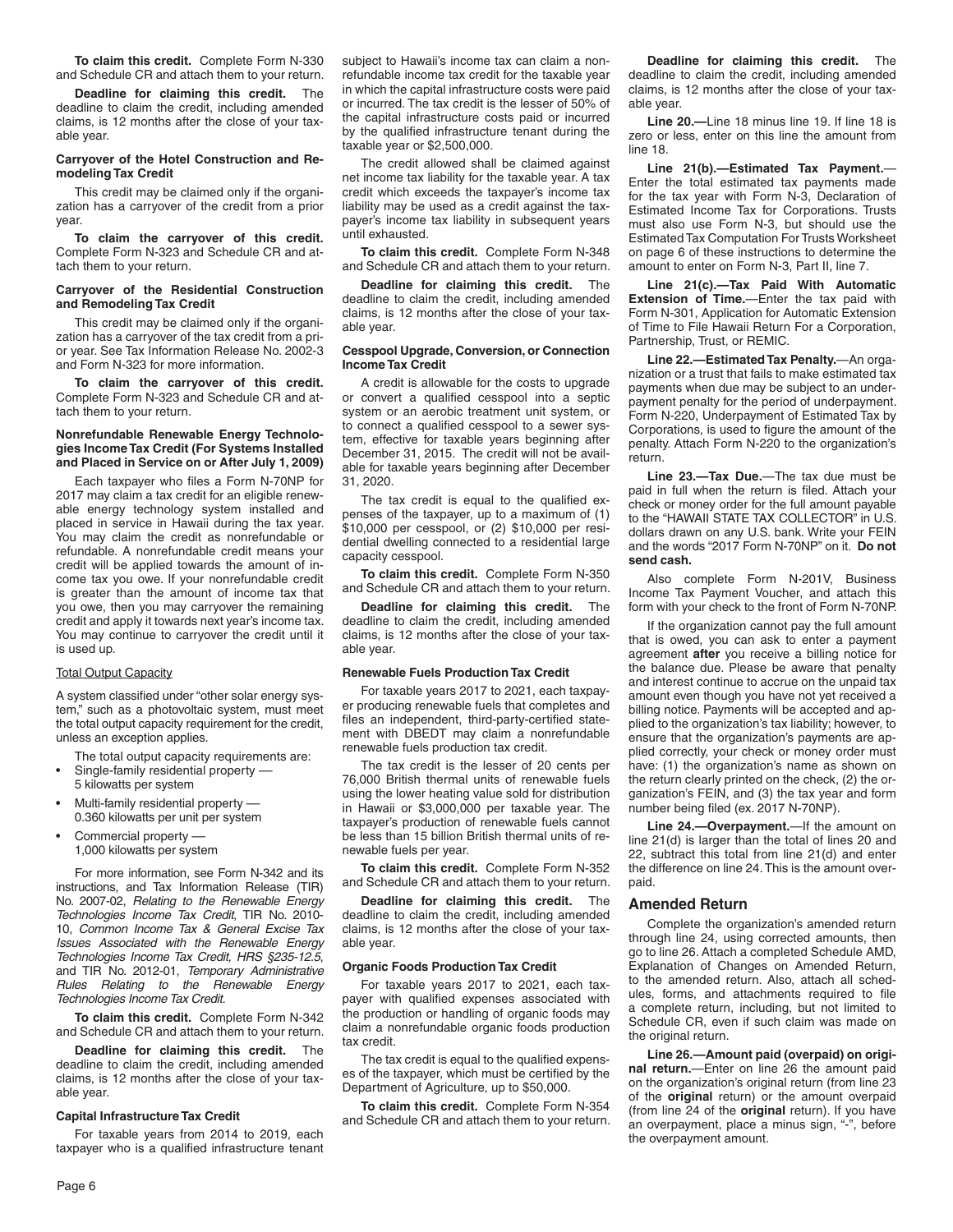**To claim this credit.** Complete Form N-330 and Schedule CR and attach them to your return.

**Deadline for claiming this credit.** The deadline to claim the credit, including amended claims, is 12 months after the close of your taxable year.

#### **Carryover of the Hotel Construction and Remodeling Tax Credit**

This credit may be claimed only if the organization has a carryover of the credit from a prior year.

**To claim the carryover of this credit.** Complete Form N-323 and Schedule CR and attach them to your return.

### **Carryover of the Residential Construction and Remodeling Tax Credit**

This credit may be claimed only if the organization has a carryover of the tax credit from a prior year. See Tax Information Release No. 2002-3 and Form N-323 for more information.

**To claim the carryover of this credit.** Complete Form N-323 and Schedule CR and attach them to your return.

#### **Nonrefundable Renewable Energy Technologies Income Tax Credit (For Systems Installed and Placed in Service on or After July 1, 2009)**

Each taxpayer who files a Form N-70NP for 2017 may claim a tax credit for an eligible renewable energy technology system installed and placed in service in Hawaii during the tax year. You may claim the credit as nonrefundable or refundable. A nonrefundable credit means your credit will be applied towards the amount of income tax you owe. If your nonrefundable credit is greater than the amount of income tax that you owe, then you may carryover the remaining credit and apply it towards next year's income tax. You may continue to carryover the credit until it is used up.

#### Total Output Capacity

A system classified under "other solar energy system," such as a photovoltaic system, must meet the total output capacity requirement for the credit, unless an exception applies.

The total output capacity requirements are:

- Single-family residential property -5 kilowatts per system
- Multi-family residential property –– 0.360 kilowatts per unit per system
- Commercial property –– 1,000 kilowatts per system

For more information, see Form N-342 and its instructions, and Tax Information Release (TIR) No. 2007-02, *Relating to the Renewable Energy Technologies Income Tax Credit*, TIR No. 2010- 10, *Common Income Tax & General Excise Tax Issues Associated with the Renewable Energy Technologies Income Tax Credit, HRS §235-12.5*, and TIR No. 2012-01, *Temporary Administrative Rules Relating to the Renewable Energy Technologies Income Tax Credit*.

**To claim this credit.** Complete Form N-342 and Schedule CR and attach them to your return.

**Deadline for claiming this credit.** The deadline to claim the credit, including amended claims, is 12 months after the close of your taxable year.

#### **Capital Infrastructure Tax Credit**

For taxable years from 2014 to 2019, each taxpayer who is a qualified infrastructure tenant subject to Hawaii's income tax can claim a nonrefundable income tax credit for the taxable year in which the capital infrastructure costs were paid or incurred. The tax credit is the lesser of 50% of the capital infrastructure costs paid or incurred by the qualified infrastructure tenant during the taxable year or \$2,500,000.

The credit allowed shall be claimed against net income tax liability for the taxable year. A tax credit which exceeds the taxpayer's income tax liability may be used as a credit against the taxpayer's income tax liability in subsequent years until exhausted.

**To claim this credit.** Complete Form N-348 and Schedule CR and attach them to your return.

**Deadline for claiming this credit.** The deadline to claim the credit, including amended claims, is 12 months after the close of your taxable year.

### **Cesspool Upgrade, Conversion, or Connection Income Tax Credit**

A credit is allowable for the costs to upgrade or convert a qualified cesspool into a septic system or an aerobic treatment unit system, or to connect a qualified cesspool to a sewer system, effective for taxable years beginning after December 31, 2015. The credit will not be available for taxable years beginning after December 31, 2020.

The tax credit is equal to the qualified expenses of the taxpayer, up to a maximum of (1) \$10,000 per cesspool, or (2) \$10,000 per residential dwelling connected to a residential large capacity cesspool.

**To claim this credit.** Complete Form N-350 and Schedule CR and attach them to your return.

**Deadline for claiming this credit.** The deadline to claim the credit, including amended claims, is 12 months after the close of your taxable year.

#### **Renewable Fuels Production Tax Credit**

For taxable years 2017 to 2021, each taxpayer producing renewable fuels that completes and files an independent, third-party-certified statement with DBEDT may claim a nonrefundable renewable fuels production tax credit.

The tax credit is the lesser of 20 cents per 76,000 British thermal units of renewable fuels using the lower heating value sold for distribution in Hawaii or \$3,000,000 per taxable year. The taxpayer's production of renewable fuels cannot be less than 15 billion British thermal units of renewable fuels per year.

**To claim this credit.** Complete Form N-352 and Schedule CR and attach them to your return.

**Deadline for claiming this credit.** The deadline to claim the credit, including amended claims, is 12 months after the close of your taxable year.

#### **Organic Foods Production Tax Credit**

For taxable years 2017 to 2021, each taxpayer with qualified expenses associated with the production or handling of organic foods may claim a nonrefundable organic foods production tax credit.

The tax credit is equal to the qualified expenses of the taxpayer, which must be certified by the Department of Agriculture, up to \$50,000.

**To claim this credit.** Complete Form N-354 and Schedule CR and attach them to your return.

**Deadline for claiming this credit.** The deadline to claim the credit, including amended claims, is 12 months after the close of your taxable year.

**Line 20.—**Line 18 minus line 19. If line 18 is zero or less, enter on this line the amount from line 18.

**Line 21(b).—Estimated Tax Payment.**— Enter the total estimated tax payments made for the tax year with Form N-3, Declaration of Estimated Income Tax for Corporations. Trusts must also use Form N-3, but should use the Estimated Tax Computation For Trusts Worksheet on page 6 of these instructions to determine the amount to enter on Form N-3, Part II, line 7.

**Line 21(c).—Tax Paid With Automatic Extension of Time.**—Enter the tax paid with Form N-301, Application for Automatic Extension of Time to File Hawaii Return For a Corporation, Partnership, Trust, or REMIC.

**Line 22.—Estimated Tax Penalty.**—An organization or a trust that fails to make estimated tax payments when due may be subject to an underpayment penalty for the period of underpayment. Form N-220, Underpayment of Estimated Tax by Corporations, is used to figure the amount of the penalty. Attach Form N-220 to the organization's return.

**Line 23.—Tax Due.**—The tax due must be paid in full when the return is filed. Attach your check or money order for the full amount payable to the "HAWAII STATE TAX COLLECTOR" in U.S. dollars drawn on any U.S. bank. Write your FEIN and the words "2017 Form N-70NP" on it. **Do not send cash.**

Also complete Form N-201V, Business Income Tax Payment Voucher, and attach this form with your check to the front of Form N-70NP.

If the organization cannot pay the full amount that is owed, you can ask to enter a payment agreement **after** you receive a billing notice for the balance due. Please be aware that penalty and interest continue to accrue on the unpaid tax amount even though you have not yet received a billing notice. Payments will be accepted and applied to the organization's tax liability; however, to ensure that the organization's payments are applied correctly, your check or money order must have: (1) the organization's name as shown on the return clearly printed on the check, (2) the organization's FEIN, and (3) the tax year and form number being filed (ex. 2017 N-70NP).

**Line 24.—Overpayment.**—If the amount on line 21(d) is larger than the total of lines 20 and 22, subtract this total from line 21(d) and enter the difference on line 24. This is the amount overpaid.

### **Amended Return**

Complete the organization's amended return through line 24, using corrected amounts, then go to line 26. Attach a completed Schedule AMD, Explanation of Changes on Amended Return, to the amended return. Also, attach all schedules, forms, and attachments required to file a complete return, including, but not limited to Schedule CR, even if such claim was made on the original return.

**Line 26.—Amount paid (overpaid) on original return.**—Enter on line 26 the amount paid on the organization's original return (from line 23 of the **original** return) or the amount overpaid (from line 24 of the **original** return). If you have an overpayment, place a minus sign, "-", before the overpayment amount.